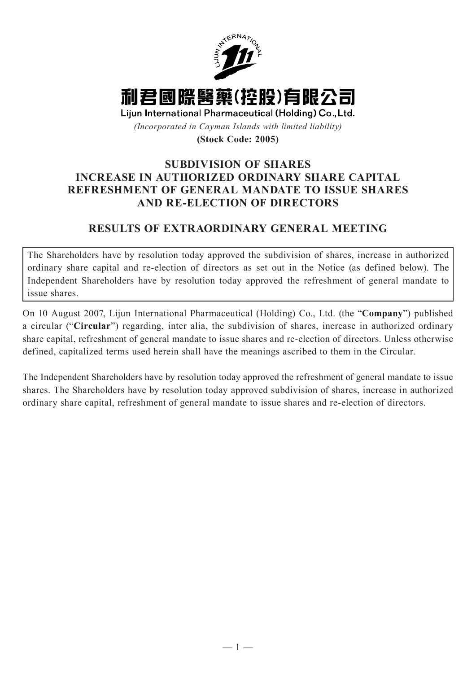

## **SUBDIVISION OF SHARES INCREASE IN AUTHORIZED ORDINARY SHARE CAPITAL REFRESHMENT OF GENERAL MANDATE TO ISSUE SHARES AND RE-ELECTION OF DIRECTORS**

## **RESULTS OF EXTRAORDINARY GENERAL MEETING**

The Shareholders have by resolution today approved the subdivision of shares, increase in authorized ordinary share capital and re-election of directors as set out in the Notice (as defined below). The Independent Shareholders have by resolution today approved the refreshment of general mandate to issue shares.

On 10 August 2007, Lijun International Pharmaceutical (Holding) Co., Ltd. (the "**Company**") published a circular ("**Circular**") regarding, inter alia, the subdivision of shares, increase in authorized ordinary share capital, refreshment of general mandate to issue shares and re-election of directors. Unless otherwise defined, capitalized terms used herein shall have the meanings ascribed to them in the Circular.

The Independent Shareholders have by resolution today approved the refreshment of general mandate to issue shares. The Shareholders have by resolution today approved subdivision of shares, increase in authorized ordinary share capital, refreshment of general mandate to issue shares and re-election of directors.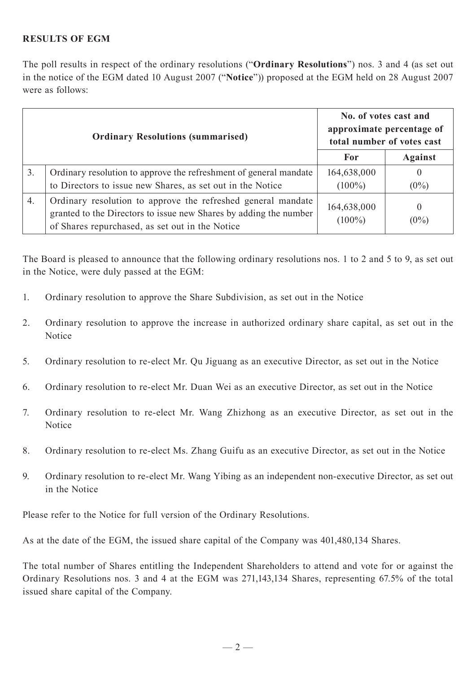## **RESULTS OF EGM**

The poll results in respect of the ordinary resolutions ("**Ordinary Resolutions**") nos. 3 and 4 (as set out in the notice of the EGM dated 10 August 2007 ("**Notice**")) proposed at the EGM held on 28 August 2007 were as follows:

|                  | <b>Ordinary Resolutions (summarised)</b>                                                                                                                                             | No. of votes cast and<br>approximate percentage of<br>total number of votes cast |                           |
|------------------|--------------------------------------------------------------------------------------------------------------------------------------------------------------------------------------|----------------------------------------------------------------------------------|---------------------------|
|                  |                                                                                                                                                                                      | For                                                                              | <b>Against</b>            |
| $\overline{3}$ . | Ordinary resolution to approve the refreshment of general mandate                                                                                                                    | 164,638,000                                                                      | $\theta$                  |
|                  | to Directors to issue new Shares, as set out in the Notice                                                                                                                           | $(100\%)$                                                                        | $(0\%)$                   |
| $\overline{4}$ . | Ordinary resolution to approve the refreshed general mandate<br>granted to the Directors to issue new Shares by adding the number<br>of Shares repurchased, as set out in the Notice | 164,638,000<br>$(100\%)$                                                         | $\overline{0}$<br>$(0\%)$ |

The Board is pleased to announce that the following ordinary resolutions nos. 1 to 2 and 5 to 9, as set out in the Notice, were duly passed at the EGM:

- 1. Ordinary resolution to approve the Share Subdivision, as set out in the Notice
- 2. Ordinary resolution to approve the increase in authorized ordinary share capital, as set out in the Notice
- 5. Ordinary resolution to re-elect Mr. Qu Jiguang as an executive Director, as set out in the Notice
- 6. Ordinary resolution to re-elect Mr. Duan Wei as an executive Director, as set out in the Notice
- 7. Ordinary resolution to re-elect Mr. Wang Zhizhong as an executive Director, as set out in the Notice
- 8. Ordinary resolution to re-elect Ms. Zhang Guifu as an executive Director, as set out in the Notice
- 9. Ordinary resolution to re-elect Mr. Wang Yibing as an independent non-executive Director, as set out in the Notice

Please refer to the Notice for full version of the Ordinary Resolutions.

As at the date of the EGM, the issued share capital of the Company was 401,480,134 Shares.

The total number of Shares entitling the Independent Shareholders to attend and vote for or against the Ordinary Resolutions nos. 3 and 4 at the EGM was 271,143,134 Shares, representing 67.5% of the total issued share capital of the Company.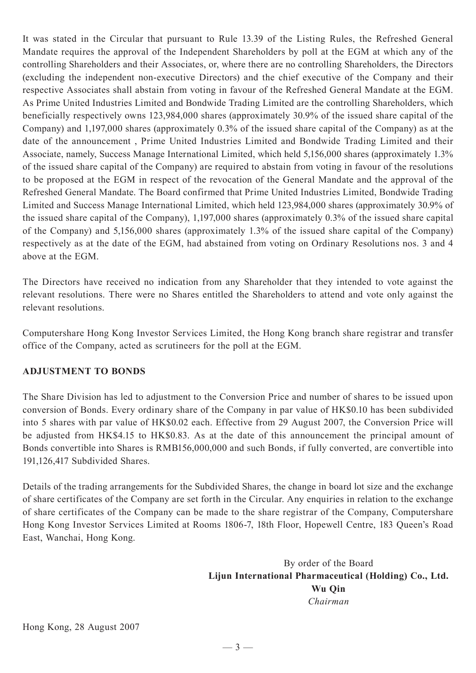It was stated in the Circular that pursuant to Rule 13.39 of the Listing Rules, the Refreshed General Mandate requires the approval of the Independent Shareholders by poll at the EGM at which any of the controlling Shareholders and their Associates, or, where there are no controlling Shareholders, the Directors (excluding the independent non-executive Directors) and the chief executive of the Company and their respective Associates shall abstain from voting in favour of the Refreshed General Mandate at the EGM. As Prime United Industries Limited and Bondwide Trading Limited are the controlling Shareholders, which beneficially respectively owns 123,984,000 shares (approximately 30.9% of the issued share capital of the Company) and 1,197,000 shares (approximately 0.3% of the issued share capital of the Company) as at the date of the announcement , Prime United Industries Limited and Bondwide Trading Limited and their Associate, namely, Success Manage International Limited, which held 5,156,000 shares (approximately 1.3% of the issued share capital of the Company) are required to abstain from voting in favour of the resolutions to be proposed at the EGM in respect of the revocation of the General Mandate and the approval of the Refreshed General Mandate. The Board confirmed that Prime United Industries Limited, Bondwide Trading Limited and Success Manage International Limited, which held 123,984,000 shares (approximately 30.9% of the issued share capital of the Company), 1,197,000 shares (approximately 0.3% of the issued share capital of the Company) and 5,156,000 shares (approximately 1.3% of the issued share capital of the Company) respectively as at the date of the EGM, had abstained from voting on Ordinary Resolutions nos. 3 and 4 above at the EGM.

The Directors have received no indication from any Shareholder that they intended to vote against the relevant resolutions. There were no Shares entitled the Shareholders to attend and vote only against the relevant resolutions.

Computershare Hong Kong Investor Services Limited, the Hong Kong branch share registrar and transfer office of the Company, acted as scrutineers for the poll at the EGM.

## **ADJUSTMENT TO BONDS**

The Share Division has led to adjustment to the Conversion Price and number of shares to be issued upon conversion of Bonds. Every ordinary share of the Company in par value of HK\$0.10 has been subdivided into 5 shares with par value of HK\$0.02 each. Effective from 29 August 2007, the Conversion Price will be adjusted from HK\$4.15 to HK\$0.83. As at the date of this announcement the principal amount of Bonds convertible into Shares is RMB156,000,000 and such Bonds, if fully converted, are convertible into 191,126,417 Subdivided Shares.

Details of the trading arrangements for the Subdivided Shares, the change in board lot size and the exchange of share certificates of the Company are set forth in the Circular. Any enquiries in relation to the exchange of share certificates of the Company can be made to the share registrar of the Company, Computershare Hong Kong Investor Services Limited at Rooms 1806-7, 18th Floor, Hopewell Centre, 183 Queen's Road East, Wanchai, Hong Kong.

> By order of the Board **Lijun International Pharmaceutical (Holding) Co., Ltd. Wu Qin** *Chairman*